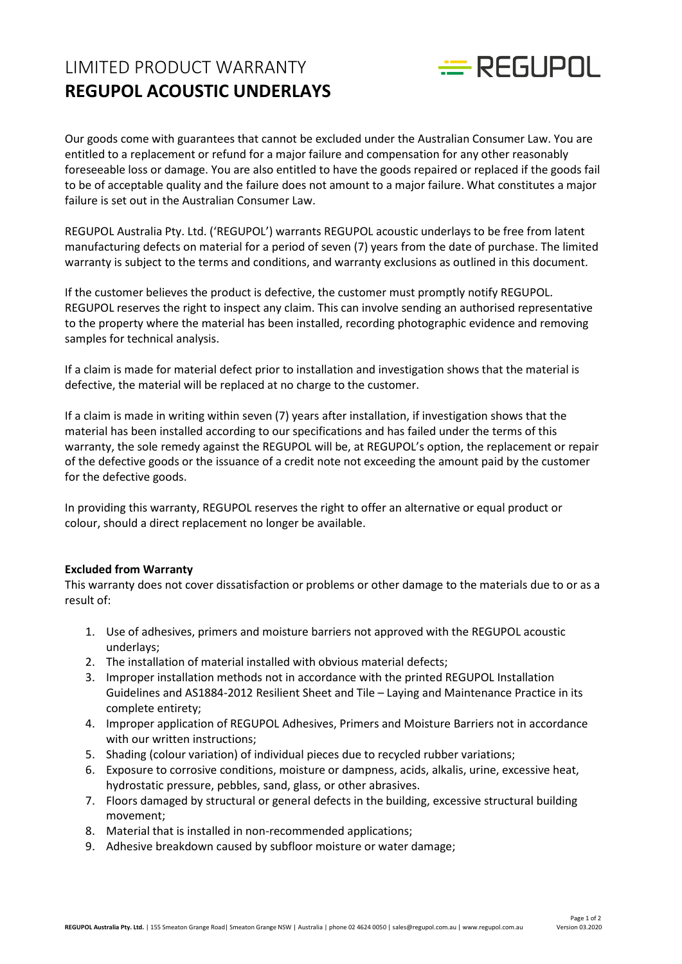## LIMITED PRODUCT WARRANTY **REGUPOL ACOUSTIC UNDERLAYS**



Our goods come with guarantees that cannot be excluded under the Australian Consumer Law. You are entitled to a replacement or refund for a major failure and compensation for any other reasonably foreseeable loss or damage. You are also entitled to have the goods repaired or replaced if the goods fail to be of acceptable quality and the failure does not amount to a major failure. What constitutes a major failure is set out in the Australian Consumer Law.

REGUPOL Australia Pty. Ltd. ('REGUPOL') warrants REGUPOL acoustic underlays to be free from latent manufacturing defects on material for a period of seven (7) years from the date of purchase. The limited warranty is subject to the terms and conditions, and warranty exclusions as outlined in this document.

If the customer believes the product is defective, the customer must promptly notify REGUPOL. REGUPOL reserves the right to inspect any claim. This can involve sending an authorised representative to the property where the material has been installed, recording photographic evidence and removing samples for technical analysis.

If a claim is made for material defect prior to installation and investigation shows that the material is defective, the material will be replaced at no charge to the customer.

If a claim is made in writing within seven (7) years after installation, if investigation shows that the material has been installed according to our specifications and has failed under the terms of this warranty, the sole remedy against the REGUPOL will be, at REGUPOL's option, the replacement or repair of the defective goods or the issuance of a credit note not exceeding the amount paid by the customer for the defective goods.

In providing this warranty, REGUPOL reserves the right to offer an alternative or equal product or colour, should a direct replacement no longer be available.

## **Excluded from Warranty**

This warranty does not cover dissatisfaction or problems or other damage to the materials due to or as a result of:

- 1. Use of adhesives, primers and moisture barriers not approved with the REGUPOL acoustic underlays;
- 2. The installation of material installed with obvious material defects;
- 3. Improper installation methods not in accordance with the printed REGUPOL Installation Guidelines and AS1884-2012 Resilient Sheet and Tile – Laying and Maintenance Practice in its complete entirety;
- 4. Improper application of REGUPOL Adhesives, Primers and Moisture Barriers not in accordance with our written instructions;
- 5. Shading (colour variation) of individual pieces due to recycled rubber variations;
- 6. Exposure to corrosive conditions, moisture or dampness, acids, alkalis, urine, excessive heat, hydrostatic pressure, pebbles, sand, glass, or other abrasives.
- 7. Floors damaged by structural or general defects in the building, excessive structural building movement;
- 8. Material that is installed in non-recommended applications;
- 9. Adhesive breakdown caused by subfloor moisture or water damage;